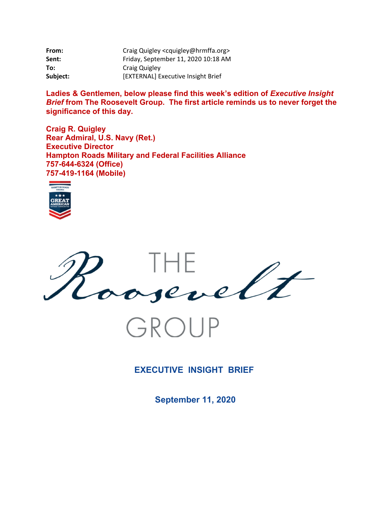| From:    | Craig Quigley <cquigley@hrmffa.org></cquigley@hrmffa.org> |
|----------|-----------------------------------------------------------|
| Sent:    | Friday, September 11, 2020 10:18 AM                       |
| To:      | Craig Quigley                                             |
| Subject: | [EXTERNAL] Executive Insight Brief                        |

Ladies & Gentlemen, below please find this week's edition of *Executive Insight Brief* **from The Roosevelt Group. The first article reminds us to never forget the significance of this day.** 

**Craig R. Quigley Rear Admiral, U.S. Navy (Ret.) Executive Director Hampton Roads Military and Federal Facilities Alliance 757-644-6324 (Office) 757-419-1164 (Mobile)** 





GROUP

**EXECUTIVE INSIGHT BRIEF** 

**September 11, 2020**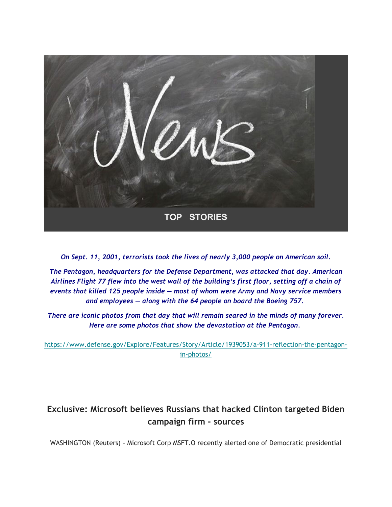

*On Sept. 11, 2001, terrorists took the lives of nearly 3,000 people on American soil.*

*The Pentagon, headquarters for the Defense Department, was attacked that day. American Airlines Flight 77 flew into the west wall of the building's first floor, setting off a chain of events that killed 125 people inside — most of whom were Army and Navy service members and employees — along with the 64 people on board the Boeing 757.* 

*There are iconic photos from that day that will remain seared in the minds of many forever. Here are some photos that show the devastation at the Pentagon.*

https://www.defense.gov/Explore/Features/Story/Article/1939053/a-911-reflection-the-pentagonin-photos/

# **Exclusive: Microsoft believes Russians that hacked Clinton targeted Biden campaign firm - sources**

WASHINGTON (Reuters) - Microsoft Corp MSFT.O recently alerted one of Democratic presidential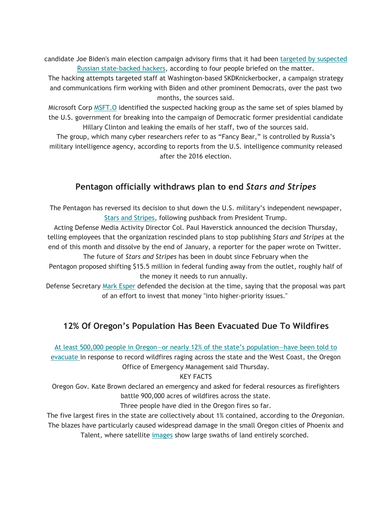candidate Joe Biden's main election campaign advisory firms that it had been targeted by suspected Russian state-backed hackers, according to four people briefed on the matter.

The hacking attempts targeted staff at Washington-based SKDKnickerbocker, a campaign strategy and communications firm working with Biden and other prominent Democrats, over the past two months, the sources said.

Microsoft Corp MSFT.O identified the suspected hacking group as the same set of spies blamed by the U.S. government for breaking into the campaign of Democratic former presidential candidate Hillary Clinton and leaking the emails of her staff, two of the sources said.

The group, which many cyber researchers refer to as "Fancy Bear," is controlled by Russia's military intelligence agency, according to reports from the U.S. intelligence community released after the 2016 election.

## **Pentagon officially withdraws plan to end** *Stars and Stripes*

The Pentagon has reversed its decision to shut down the U.S. military's independent newspaper, Stars and Stripes, following pushback from President Trump.

Acting Defense Media Activity Director Col. Paul Haverstick announced the decision Thursday, telling employees that the organization rescinded plans to stop publishing *Stars and Stripes* at the end of this month and dissolve by the end of January, a reporter for the paper wrote on Twitter.

The future of *Stars and Stripes* has been in doubt since February when the Pentagon proposed shifting \$15.5 million in federal funding away from the outlet, roughly half of the money it needs to run annually.

Defense Secretary Mark Esper defended the decision at the time, saying that the proposal was part of an effort to invest that money "into higher-priority issues."

## **12% Of Oregon's Population Has Been Evacuated Due To Wildfires**

At least 500,000 people in Oregon—or nearly 12% of the state's population—have been told to

evacuate in response to record wildfires raging across the state and the West Coast, the Oregon Office of Emergency Management said Thursday.

### KEY FACTS

Oregon Gov. Kate Brown declared an emergency and asked for federal resources as firefighters battle 900,000 acres of wildfires across the state.

### Three people have died in the Oregon fires so far.

The five largest fires in the state are collectively about 1% contained, according to the *Oregonian*. The blazes have particularly caused widespread damage in the small Oregon cities of Phoenix and Talent, where satellite images show large swaths of land entirely scorched.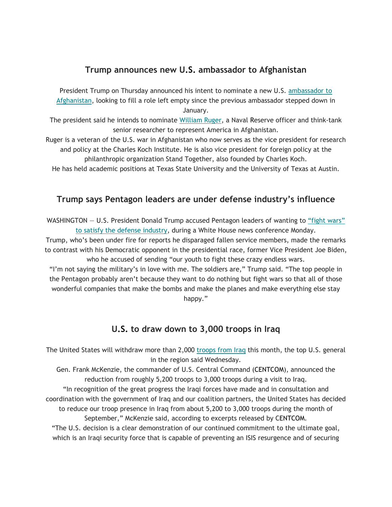### **Trump announces new U.S. ambassador to Afghanistan**

President Trump on Thursday announced his intent to nominate a new U.S. ambassador to Afghanistan, looking to fill a role left empty since the previous ambassador stepped down in January.

The president said he intends to nominate William Ruger, a Naval Reserve officer and think-tank senior researcher to represent America in Afghanistan.

Ruger is a veteran of the U.S. war in Afghanistan who now serves as the vice president for research and policy at the Charles Koch Institute. He is also vice president for foreign policy at the philanthropic organization Stand Together, also founded by Charles Koch.

He has held academic positions at Texas State University and the University of Texas at Austin.

### **Trump says Pentagon leaders are under defense industry's influence**

WASHINGTON – U.S. President Donald Trump accused Pentagon leaders of wanting to "fight wars" to satisfy the defense industry, during a White House news conference Monday.

Trump, who's been under fire for reports he disparaged fallen service members, made the remarks to contrast with his Democratic opponent in the presidential race, former Vice President Joe Biden, who he accused of sending "our youth to fight these crazy endless wars.

"I'm not saying the military's in love with me. The soldiers are," Trump said. "The top people in the Pentagon probably aren't because they want to do nothing but fight wars so that all of those wonderful companies that make the bombs and make the planes and make everything else stay happy."

### **U.S. to draw down to 3,000 troops in Iraq**

The United States will withdraw more than 2,000 troops from Iraq this month, the top U.S. general in the region said Wednesday.

Gen. Frank McKenzie, the commander of U.S. Central Command (CENTCOM), announced the reduction from roughly 5,200 troops to 3,000 troops during a visit to Iraq.

"In recognition of the great progress the Iraqi forces have made and in consultation and coordination with the government of Iraq and our coalition partners, the United States has decided to reduce our troop presence in Iraq from about 5,200 to 3,000 troops during the month of September," McKenzie said, according to excerpts released by CENTCOM.

"The U.S. decision is a clear demonstration of our continued commitment to the ultimate goal, which is an Iraqi security force that is capable of preventing an ISIS resurgence and of securing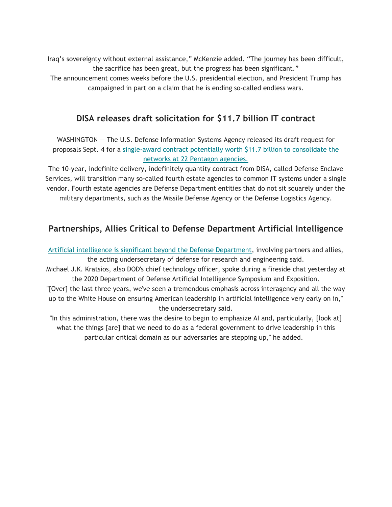Iraq's sovereignty without external assistance," McKenzie added. "The journey has been difficult, the sacrifice has been great, but the progress has been significant." The announcement comes weeks before the U.S. presidential election, and President Trump has campaigned in part on a claim that he is ending so-called endless wars.

## **DISA releases draft solicitation for \$11.7 billion IT contract**

WASHINGTON — The U.S. Defense Information Systems Agency released its draft request for proposals Sept. 4 for a single-award contract potentially worth \$11.7 billion to consolidate the networks at 22 Pentagon agencies.

The 10-year, indefinite delivery, indefinitely quantity contract from DISA, called Defense Enclave Services, will transition many so-called fourth estate agencies to common IT systems under a single vendor. Fourth estate agencies are Defense Department entities that do not sit squarely under the military departments, such as the Missile Defense Agency or the Defense Logistics Agency.

## **Partnerships, Allies Critical to Defense Department Artificial Intelligence**

Artificial intelligence is significant beyond the Defense Department, involving partners and allies, the acting undersecretary of defense for research and engineering said.

Michael J.K. Kratsios, also DOD's chief technology officer, spoke during a fireside chat yesterday at the 2020 Department of Defense Artificial Intelligence Symposium and Exposition.

"[Over] the last three years, we've seen a tremendous emphasis across interagency and all the way up to the White House on ensuring American leadership in artificial intelligence very early on in," the undersecretary said.

"In this administration, there was the desire to begin to emphasize AI and, particularly, [look at] what the things [are] that we need to do as a federal government to drive leadership in this particular critical domain as our adversaries are stepping up," he added.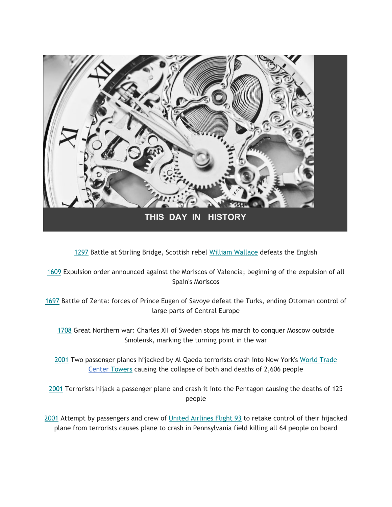

1297 Battle at Stirling Bridge, Scottish rebel William Wallace defeats the English

1609 Expulsion order announced against the Moriscos of Valencia; beginning of the expulsion of all Spain's Moriscos

1697 Battle of Zenta: forces of Prince Eugen of Savoye defeat the Turks, ending Ottoman control of large parts of Central Europe

1708 Great Northern war: Charles XII of Sweden stops his march to conquer Moscow outside Smolensk, marking the turning point in the war

2001 Two passenger planes hijacked by Al Qaeda terrorists crash into New York's World Trade Center Towers causing the collapse of both and deaths of 2,606 people

2001 Terrorists hijack a passenger plane and crash it into the Pentagon causing the deaths of 125 people

2001 Attempt by passengers and crew of United Airlines Flight 93 to retake control of their hijacked plane from terrorists causes plane to crash in Pennsylvania field killing all 64 people on board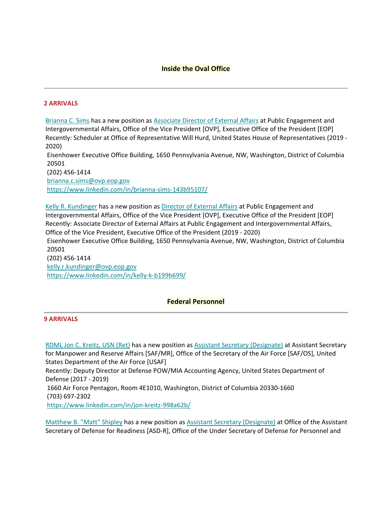### **Inside the Oval Office**

#### **2 ARRIVALS**

Brianna C. Sims has a new position as Associate Director of External Affairs at Public Engagement and Intergovernmental Affairs, Office of the Vice President [OVP], Executive Office of the President [EOP] Recently: Scheduler at Office of Representative Will Hurd, United States House of Representatives (2019 ‐ 2020)

 Eisenhower Executive Office Building, 1650 Pennsylvania Avenue, NW, Washington, District of Columbia 20501

(202) 456‐1414 brianna.c.sims@ovp.eop.gov https://www.linkedin.com/in/brianna‐sims‐143b95107/

 Eisenhower Executive Office Building, 1650 Pennsylvania Avenue, NW, Washington, District of Columbia Kelly R. Kundinger has a new position as Director of External Affairs at Public Engagement and Intergovernmental Affairs, Office of the Vice President [OVP], Executive Office of the President [EOP] Recently: Associate Director of External Affairs at Public Engagement and Intergovernmental Affairs, Office of the Vice President, Executive Office of the President (2019 ‐ 2020) 20501 (202) 456‐1414

kelly.r.kundinger@ovp.eop.gov https://www.linkedin.com/in/kelly‐k‐b199b699/

#### **Federal Personnel**

#### **9 ARRIVALS**

 Defense (2017 ‐ 2019) RDML Jon C. Kreitz, USN (Ret) has a new position as Assistant Secretary (Designate) at Assistant Secretary for Manpower and Reserve Affairs [SAF/MR], Office of the Secretary of the Air Force [SAF/OS], United States Department of the Air Force [USAF] Recently: Deputy Director at Defense POW/MIA Accounting Agency, United States Department of 1660 Air Force Pentagon, Room 4E1010, Washington, District of Columbia 20330‐1660 (703) 697‐2302 https://www.linkedin.com/in/jon‐kreitz‐998a62b/

Secretary of Defense for Readiness [ASD-R], Office of the Under Secretary of Defense for Personnel and Matthew B. "Matt" Shipley has a new position as Assistant Secretary (Designate) at Office of the Assistant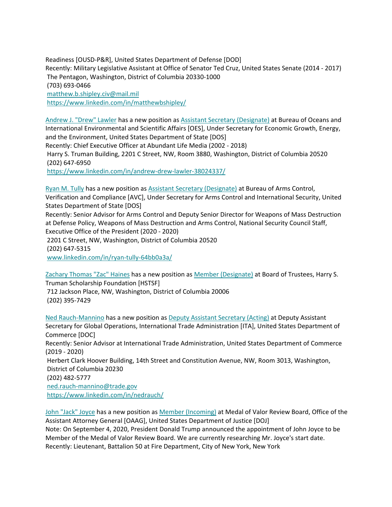Readiness [OUSD‐P&R], United States Department of Defense [DOD] Recently: Military Legislative Assistant at Office of Senator Ted Cruz, United States Senate (2014 ‐ 2017) The Pentagon, Washington, District of Columbia 20330‐1000 (703) 693‐0466 matthew.b.shipley.civ@mail.mil https://www.linkedin.com/in/matthewbshipley/

 Recently: Chief Executive Officer at Abundant Life Media (2002 ‐ 2018) Andrew J. "Drew" Lawler has a new position as Assistant Secretary (Designate) at Bureau of Oceans and International Environmental and Scientific Affairs [OES], Under Secretary for Economic Growth, Energy, and the Environment, United States Department of State [DOS] Harry S. Truman Building, 2201 C Street, NW, Room 3880, Washington, District of Columbia 20520 (202) 647‐6950

https://www.linkedin.com/in/andrew‐drew‐lawler‐38024337/

Ryan M. Tully has a new position as Assistant Secretary (Designate) at Bureau of Arms Control, Verification and Compliance [AVC], Under Secretary for Arms Control and International Security, United States Department of State [DOS]

 at Defense Policy, Weapons of Mass Destruction and Arms Control, National Security Council Staff, Recently: Senior Advisor for Arms Control and Deputy Senior Director for Weapons of Mass Destruction Executive Office of the President (2020 ‐ 2020)

2201 C Street, NW, Washington, District of Columbia 20520 (202) 647‐5315

www.linkedin.com/in/ryan‐tully‐64bb0a3a/

 Truman Scholarship Foundation [HSTSF] Zachary Thomas "Zac" Haines has a new position as Member (Designate) at Board of Trustees, Harry S. 712 Jackson Place, NW, Washington, District of Columbia 20006 (202) 395‐7429

 (2019 ‐ 2020) Ned Rauch‐Mannino has a new position as Deputy Assistant Secretary (Acting) at Deputy Assistant Secretary for Global Operations, International Trade Administration [ITA], United States Department of Commerce [DOC] Recently: Senior Advisor at International Trade Administration, United States Department of Commerce Herbert Clark Hoover Building, 14th Street and Constitution Avenue, NW, Room 3013, Washington, District of Columbia 20230 (202) 482‐5777 ned.rauch‐mannino@trade.gov https://www.linkedin.com/in/nedrauch/

 Note: On September 4, 2020, President Donald Trump announced the appointment of John Joyce to be John "Jack" Joyce has a new position as Member (Incoming) at Medal of Valor Review Board, Office of the Assistant Attorney General [OAAG], United States Department of Justice [DOJ] Member of the Medal of Valor Review Board. We are currently researching Mr. Joyce's start date. Recently: Lieutenant, Battalion 50 at Fire Department, City of New York, New York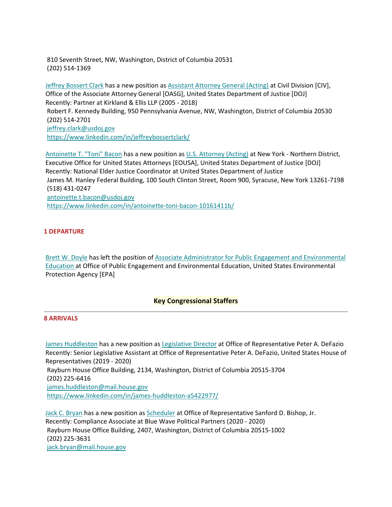810 Seventh Street, NW, Washington, District of Columbia 20531 (202) 514‐1369

 Robert F. Kennedy Building, 950 Pennsylvania Avenue, NW, Washington, District of Columbia 20530 Jeffrey Bossert Clark has a new position as Assistant Attorney General (Acting) at Civil Division [CIV], Office of the Associate Attorney General [OASG], United States Department of Justice [DOJ] Recently: Partner at Kirkland & Ellis LLP (2005 ‐ 2018) (202) 514‐2701 jeffrey.clark@usdoj.gov https://www.linkedin.com/in/jeffreybossertclark/

 James M. Hanley Federal Building, 100 South Clinton Street, Room 900, Syracuse, New York 13261‐7198 Antoinette T. "Toni" Bacon has a new position as U.S. Attorney (Acting) at New York - Northern District, Executive Office for United States Attorneys [EOUSA], United States Department of Justice [DOJ] Recently: National Elder Justice Coordinator at United States Department of Justice (518) 431‐0247 antoinette.t.bacon@usdoj.gov https://www.linkedin.com/in/antoinette‐toni‐bacon‐10161411b/

#### **1 DEPARTURE**

 Education at Office of Public Engagement and Environmental Education, United States Environmental Brett W. Doyle has left the position of Associate Administrator for Public Engagement and Environmental Protection Agency [EPA]

#### **Key Congressional Staffers**

#### **8 ARRIVALS**

 Rayburn House Office Building, 2134, Washington, District of Columbia 20515‐3704 James Huddleston has a new position as Legislative Director at Office of Representative Peter A. DeFazio Recently: Senior Legislative Assistant at Office of Representative Peter A. DeFazio, United States House of Representatives (2019 ‐ 2020) (202) 225‐6416 james.huddleston@mail.house.gov https://www.linkedin.com/in/james‐huddleston‐a5422977/

 Rayburn House Office Building, 2407, Washington, District of Columbia 20515‐1002 Jack C. Bryan has a new position as Scheduler at Office of Representative Sanford D. Bishop, Jr. Recently: Compliance Associate at Blue Wave Political Partners (2020 ‐ 2020) (202) 225‐3631 jack.bryan@mail.house.gov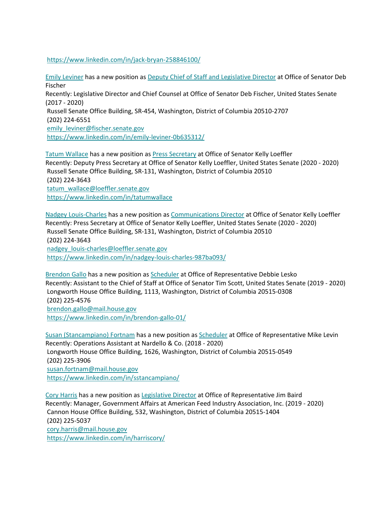https://www.linkedin.com/in/jack‐bryan‐258846100/

 (2017 ‐ 2020) Emily Leviner has a new position as Deputy Chief of Staff and Legislative Director at Office of Senator Deb Fischer Recently: Legislative Director and Chief Counsel at Office of Senator Deb Fischer, United States Senate Russell Senate Office Building, SR‐454, Washington, District of Columbia 20510‐2707 (202) 224‐6551 emily\_leviner@fischer.senate.gov https://www.linkedin.com/in/emily-leviner-0b635312/

 (202) 224‐3643 Tatum Wallace has a new position as Press Secretary at Office of Senator Kelly Loeffler Recently: Deputy Press Secretary at Office of Senator Kelly Loeffler, United States Senate (2020 ‐ 2020) Russell Senate Office Building, SR‐131, Washington, District of Columbia 20510 tatum\_wallace@loeffler.senate.gov https://www.linkedin.com/in/tatumwallace

 (202) 224‐3643 Nadgey Louis‐Charles has a new position as Communications Director at Office of Senator Kelly Loeffler Recently: Press Secretary at Office of Senator Kelly Loeffler, United States Senate (2020 ‐ 2020) Russell Senate Office Building, SR‐131, Washington, District of Columbia 20510 nadgey\_louis-charles@loeffler.senate.gov https://www.linkedin.com/in/nadgey‐louis‐charles‐987ba093/

**Brendon Gallo has a new position as Scheduler at Office of Representative Debbie Lesko** Recently: Assistant to the Chief of Staff at Office of Senator Tim Scott, United States Senate (2019 ‐ 2020) Longworth House Office Building, 1113, Washington, District of Columbia 20515‐0308 (202) 225‐4576 brendon.gallo@mail.house.gov https://www.linkedin.com/in/brendon‐gallo‐01/

Longworth House Office Building, 1626, Washington, District of Columbia 20515-0549<br>(202) 225-2006 Susan (Stancampiano) Fortnam has a new position as Scheduler at Office of Representative Mike Levin Recently: Operations Assistant at Nardello & Co. (2018 ‐ 2020) (202) 225‐3906 susan.fortnam@mail.house.gov https://www.linkedin.com/in/sstancampiano/

 (202) 225‐5037 Cory Harris has a new position as Legislative Director at Office of Representative Jim Baird Recently: Manager, Government Affairs at American Feed Industry Association, Inc. (2019 ‐ 2020) Cannon House Office Building, 532, Washington, District of Columbia 20515‐1404 cory.harris@mail.house.gov https://www.linkedin.com/in/harriscory/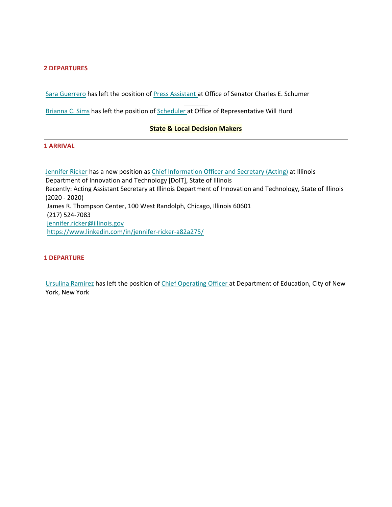#### **2 DEPARTURES**

Sara Guerrero has left the position of Press Assistant at Office of Senator Charles E. Schumer

Brianna C. Sims has left the position of Scheduler at Office of Representative Will Hurd

#### **State & Local Decision Makers**

#### **1 ARRIVAL**

 James R. Thompson Center, 100 West Randolph, Chicago, Illinois 60601 Jennifer Ricker has a new position as Chief Information Officer and Secretary (Acting) at Illinois Department of Innovation and Technology [DoIT], State of Illinois Recently: Acting Assistant Secretary at Illinois Department of Innovation and Technology, State of Illinois (2020 ‐ 2020) (217) 524‐7083 jennifer.ricker@illinois.gov https://www.linkedin.com/in/jennifer‐ricker‐a82a275/

#### **1 DEPARTURE**

**York, New York** Ursulina Ramirez has left the position of Chief Operating Officer at Department of Education, City of New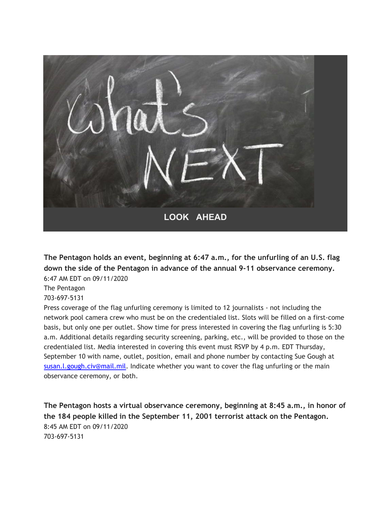

**The Pentagon holds an event, beginning at 6:47 a.m., for the unfurling of an U.S. flag down the side of the Pentagon in advance of the annual 9-11 observance ceremony.** 6:47 AM EDT on 09/11/2020

The Pentagon

703-697-5131

Press coverage of the flag unfurling ceremony is limited to 12 journalists - not including the network pool camera crew who must be on the credentialed list. Slots will be filled on a first-come basis, but only one per outlet. Show time for press interested in covering the flag unfurling is 5:30 a.m. Additional details regarding security screening, parking, etc., will be provided to those on the credentialed list. Media interested in covering this event must RSVP by 4 p.m. EDT Thursday, September 10 with name, outlet, position, email and phone number by contacting Sue Gough at susan.l.gough.civ@mail.mil. Indicate whether you want to cover the flag unfurling or the main observance ceremony, or both.

**The Pentagon hosts a virtual observance ceremony, beginning at 8:45 a.m., in honor of the 184 people killed in the September 11, 2001 terrorist attack on the Pentagon.** 8:45 AM EDT on 09/11/2020 703-697-5131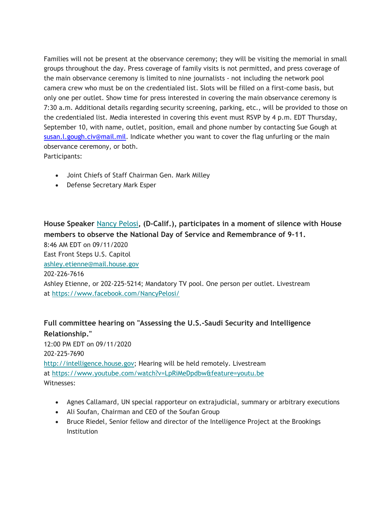Families will not be present at the observance ceremony; they will be visiting the memorial in small groups throughout the day. Press coverage of family visits is not permitted, and press coverage of the main observance ceremony is limited to nine journalists - not including the network pool camera crew who must be on the credentialed list. Slots will be filled on a first-come basis, but only one per outlet. Show time for press interested in covering the main observance ceremony is 7:30 a.m. Additional details regarding security screening, parking, etc., will be provided to those on the credentialed list. Media interested in covering this event must RSVP by 4 p.m. EDT Thursday, September 10, with name, outlet, position, email and phone number by contacting Sue Gough at susan.l.gough.civ@mail.mil. Indicate whether you want to cover the flag unfurling or the main observance ceremony, or both.

Participants:

- Joint Chiefs of Staff Chairman Gen. Mark Milley
- Defense Secretary Mark Esper

**House Speaker** Nancy Pelosi**, (D-Calif.), participates in a moment of silence with House members to observe the National Day of Service and Remembrance of 9-11.** 8:46 AM EDT on 09/11/2020 East Front Steps U.S. Capitol ashley.etienne@mail.house.gov 202-226-7616 Ashley Etienne, or 202-225-5214; Mandatory TV pool. One person per outlet. Livestream at https://www.facebook.com/NancyPelosi/

## **Full committee hearing on "Assessing the U.S.-Saudi Security and Intelligence Relationship."**

12:00 PM EDT on 09/11/2020 202-225-7690 http://intelligence.house.gov; Hearing will be held remotely. Livestream at https://www.youtube.com/watch?v=LpRiMeDpdbw&feature=youtu.be Witnesses:

- Agnes Callamard, UN special rapporteur on extrajudicial, summary or arbitrary executions
- Ali Soufan, Chairman and CEO of the Soufan Group
- Bruce Riedel, Senior fellow and director of the Intelligence Project at the Brookings Institution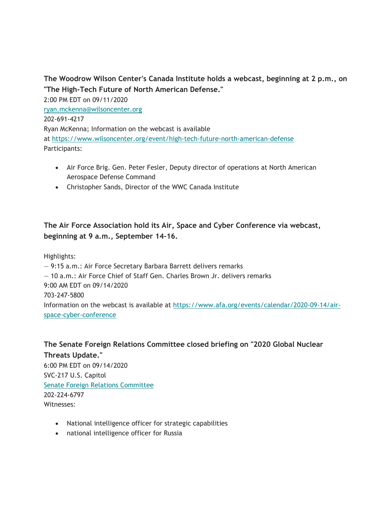### **The Woodrow Wilson Center's Canada Institute holds a webcast, beginning at 2 p.m., on "The High-Tech Future of North American Defense."**

2:00 PM EDT on 09/11/2020 ryan.mckenna@wilsoncenter.org 202-691-4217 Ryan McKenna; Information on the webcast is available at https://www.wilsoncenter.org/event/high-tech-future-north-american-defense Participants:

- Air Force Brig. Gen. Peter Fesler, Deputy director of operations at North American Aerospace Defense Command
- Christopher Sands, Director of the WWC Canada Institute

### **The Air Force Association hold its Air, Space and Cyber Conference via webcast, beginning at 9 a.m., September 14-16.**

Highlights:

— 9:15 a.m.: Air Force Secretary Barbara Barrett delivers remarks — 10 a.m.: Air Force Chief of Staff Gen. Charles Brown Jr. delivers remarks 9:00 AM EDT on 09/14/2020 703-247-5800 Information on the webcast is available at https://www.afa.org/events/calendar/2020-09-14/airspace-cyber-conference

**The Senate Foreign Relations Committee closed briefing on "2020 Global Nuclear Threats Update."** 6:00 PM EDT on 09/14/2020 SVC-217 U.S. Capitol Senate Foreign Relations Committee 202-224-6797 Witnesses:

- National intelligence officer for strategic capabilities
- national intelligence officer for Russia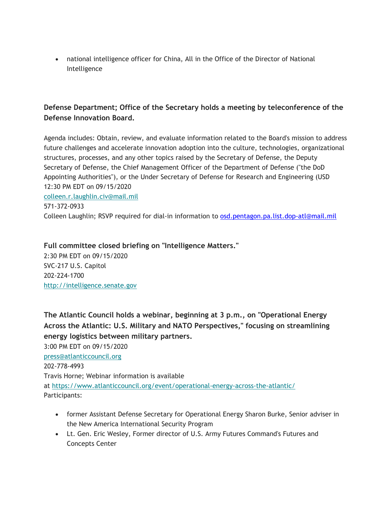national intelligence officer for China, All in the Office of the Director of National Intelligence

### **Defense Department; Office of the Secretary holds a meeting by teleconference of the Defense Innovation Board.**

Agenda includes: Obtain, review, and evaluate information related to the Board's mission to address future challenges and accelerate innovation adoption into the culture, technologies, organizational structures, processes, and any other topics raised by the Secretary of Defense, the Deputy Secretary of Defense, the Chief Management Officer of the Department of Defense ("the DoD Appointing Authorities"), or the Under Secretary of Defense for Research and Engineering (USD 12:30 PM EDT on 09/15/2020 colleen.r.laughlin.civ@mail.mil 571-372-0933 Colleen Laughlin; RSVP required for dial-in information to osd.pentagon.pa.list.dop-atl@mail.mil

**Full committee closed briefing on "Intelligence Matters."** 2:30 PM EDT on 09/15/2020 SVC-217 U.S. Capitol 202-224-1700 http://intelligence.senate.gov

**The Atlantic Council holds a webinar, beginning at 3 p.m., on "Operational Energy Across the Atlantic: U.S. Military and NATO Perspectives," focusing on streamlining energy logistics between military partners.** 3:00 PM EDT on 09/15/2020

press@atlanticcouncil.org 202-778-4993 Travis Horne; Webinar information is available at https://www.atlanticcouncil.org/event/operational-energy-across-the-atlantic/ Participants:

- former Assistant Defense Secretary for Operational Energy Sharon Burke, Senior adviser in the New America International Security Program
- Lt. Gen. Eric Wesley, Former director of U.S. Army Futures Command's Futures and Concepts Center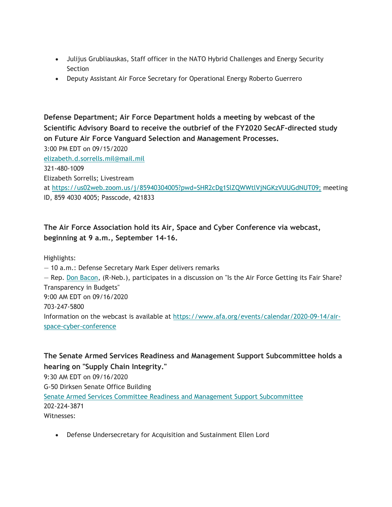- Julijus Grubliauskas, Staff officer in the NATO Hybrid Challenges and Energy Security Section
- Deputy Assistant Air Force Secretary for Operational Energy Roberto Guerrero

**Defense Department; Air Force Department holds a meeting by webcast of the Scientific Advisory Board to receive the outbrief of the FY2020 SecAF-directed study on Future Air Force Vanguard Selection and Management Processes.**

3:00 PM EDT on 09/15/2020 elizabeth.d.sorrells.mil@mail.mil 321-480-1009 Elizabeth Sorrells; Livestream at https://us02web.zoom.us/j/85940304005?pwd=SHR2cDg1SlZQWWtlVjNGKzVUUGdNUT09; meeting ID, 859 4030 4005; Passcode, 421833

### **The Air Force Association hold its Air, Space and Cyber Conference via webcast, beginning at 9 a.m., September 14-16.**

Highlights:

— 10 a.m.: Defense Secretary Mark Esper delivers remarks

— Rep. Don Bacon, (R-Neb.), participates in a discussion on "Is the Air Force Getting its Fair Share? Transparency in Budgets" 9:00 AM EDT on 09/16/2020 703-247-5800 Information on the webcast is available at https://www.afa.org/events/calendar/2020-09-14/airspace-cyber-conference

**The Senate Armed Services Readiness and Management Support Subcommittee holds a hearing on "Supply Chain Integrity."** 9:30 AM EDT on 09/16/2020 G-50 Dirksen Senate Office Building Senate Armed Services Committee Readiness and Management Support Subcommittee 202-224-3871 Witnesses:

Defense Undersecretary for Acquisition and Sustainment Ellen Lord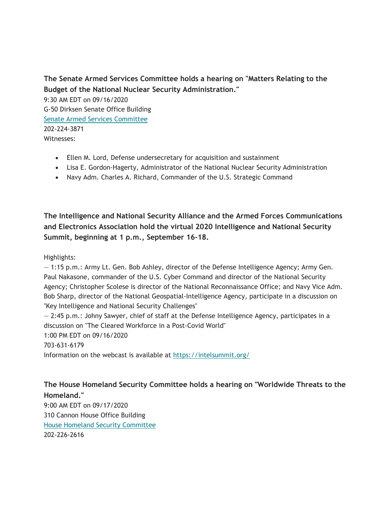### **The Senate Armed Services Committee holds a hearing on "Matters Relating to the Budget of the National Nuclear Security Administration."**

9:30 AM EDT on 09/16/2020 G-50 Dirksen Senate Office Building Senate Armed Services Committee 202-224-3871 Witnesses:

- Ellen M. Lord, Defense undersecretary for acquisition and sustainment
- Lisa E. Gordon-Hagerty, Administrator of the National Nuclear Security Administration
- Navy Adm. Charles A. Richard, Commander of the U.S. Strategic Command

**The Intelligence and National Security Alliance and the Armed Forces Communications and Electronics Association hold the virtual 2020 Intelligence and National Security Summit, beginning at 1 p.m., September 16-18.**

Highlights:

— 1:15 p.m.: Army Lt. Gen. Bob Ashley, director of the Defense Intelligence Agency; Army Gen. Paul Nakasone, commander of the U.S. Cyber Command and director of the National Security Agency; Christopher Scolese is director of the National Reconnaissance Office; and Navy Vice Adm. Bob Sharp, director of the National Geospatial-Intelligence Agency, participate in a discussion on "Key Intelligence and National Security Challenges"

— 2:45 p.m.: Johny Sawyer, chief of staff at the Defense Intelligence Agency, participates in a discussion on "The Cleared Workforce in a Post-Covid World"

1:00 PM EDT on 09/16/2020

703-631-6179

Information on the webcast is available at https://intelsummit.org/

### **The House Homeland Security Committee holds a hearing on "Worldwide Threats to the Homeland."**

9:00 AM EDT on 09/17/2020 310 Cannon House Office Building House Homeland Security Committee 202-226-2616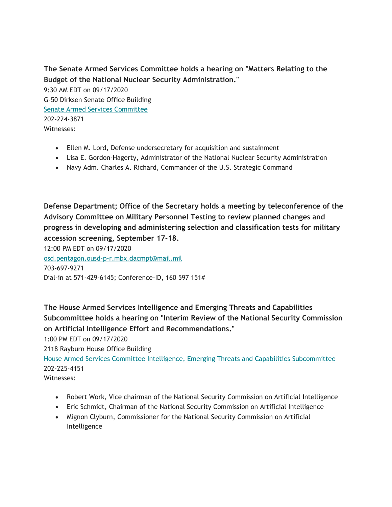**The Senate Armed Services Committee holds a hearing on "Matters Relating to the Budget of the National Nuclear Security Administration."**

9:30 AM EDT on 09/17/2020 G-50 Dirksen Senate Office Building Senate Armed Services Committee 202-224-3871 Witnesses:

- Ellen M. Lord, Defense undersecretary for acquisition and sustainment
- Lisa E. Gordon-Hagerty, Administrator of the National Nuclear Security Administration
- Navy Adm. Charles A. Richard, Commander of the U.S. Strategic Command

**Defense Department; Office of the Secretary holds a meeting by teleconference of the Advisory Committee on Military Personnel Testing to review planned changes and progress in developing and administering selection and classification tests for military accession screening, September 17-18.**

12:00 PM EDT on 09/17/2020 osd.pentagon.ousd-p-r.mbx.dacmpt@mail.mil 703-697-9271 Dial-in at 571-429-6145; Conference-ID, 160 597 151#

**The House Armed Services Intelligence and Emerging Threats and Capabilities Subcommittee holds a hearing on "Interim Review of the National Security Commission on Artificial Intelligence Effort and Recommendations."**

1:00 PM EDT on 09/17/2020

2118 Rayburn House Office Building

House Armed Services Committee Intelligence, Emerging Threats and Capabilities Subcommittee 202-225-4151

Witnesses:

- Robert Work, Vice chairman of the National Security Commission on Artificial Intelligence
- Eric Schmidt, Chairman of the National Security Commission on Artificial Intelligence
- Mignon Clyburn, Commissioner for the National Security Commission on Artificial Intelligence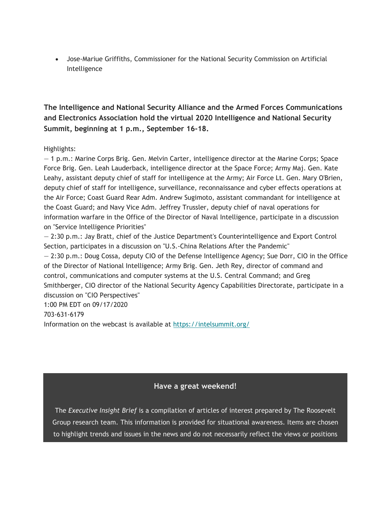Jose-Mariue Griffiths, Commissioner for the National Security Commission on Artificial Intelligence

**The Intelligence and National Security Alliance and the Armed Forces Communications and Electronics Association hold the virtual 2020 Intelligence and National Security Summit, beginning at 1 p.m., September 16-18.**

### Highlights:

— 1 p.m.: Marine Corps Brig. Gen. Melvin Carter, intelligence director at the Marine Corps; Space Force Brig. Gen. Leah Lauderback, intelligence director at the Space Force; Army Maj. Gen. Kate Leahy, assistant deputy chief of staff for intelligence at the Army; Air Force Lt. Gen. Mary O'Brien, deputy chief of staff for intelligence, surveillance, reconnaissance and cyber effects operations at the Air Force; Coast Guard Rear Adm. Andrew Sugimoto, assistant commandant for intelligence at the Coast Guard; and Navy Vice Adm. Jeffrey Trussler, deputy chief of naval operations for information warfare in the Office of the Director of Naval Intelligence, participate in a discussion on "Service Intelligence Priorities"

— 2:30 p.m.: Jay Bratt, chief of the Justice Department's Counterintelligence and Export Control Section, participates in a discussion on "U.S.-China Relations After the Pandemic"

— 2:30 p.m.: Doug Cossa, deputy CIO of the Defense Intelligence Agency; Sue Dorr, CIO in the Office of the Director of National Intelligence; Army Brig. Gen. Jeth Rey, director of command and control, communications and computer systems at the U.S. Central Command; and Greg Smithberger, CIO director of the National Security Agency Capabilities Directorate, participate in a discussion on "CIO Perspectives"

1:00 PM EDT on 09/17/2020

703-631-6179

Information on the webcast is available at https://intelsummit.org/

### **Have a great weekend!**

The *Executive Insight Brief* is a compilation of articles of interest prepared by The Roosevelt Group research team. This information is provided for situational awareness. Items are chosen to highlight trends and issues in the news and do not necessarily reflect the views or positions